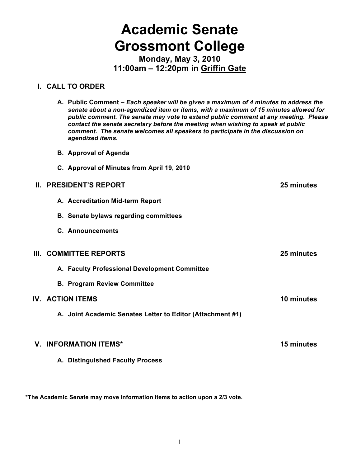# **Academic Senate Grossmont College**

**Monday, May 3, 2010 11:00am – 12:20pm in Griffin Gate**

# **I. CALL TO ORDER**

- **A. Public Comment –** *Each speaker will be given a maximum of 4 minutes to address the senate about a non-agendized item or items, with a maximum of 15 minutes allowed for public comment. The senate may vote to extend public comment at any meeting. Please contact the senate secretary before the meeting when wishing to speak at public comment. The senate welcomes all speakers to participate in the discussion on agendized items.*
- **B. Approval of Agenda**
- **C. Approval of Minutes from April 19, 2010**

# **II. PRESIDENT'S REPORT 25 minutes**

- **A. Accreditation Mid-term Report**
- **B. Senate bylaws regarding committees**
- **C. Announcements**

# **III. COMMITTEE REPORTS 25 minutes**

- **A. Faculty Professional Development Committee**
- **B. Program Review Committee**

# **IV. ACTION ITEMS 10 minutes**

**A. Joint Academic Senates Letter to Editor (Attachment #1)**

#### **V. INFORMATION ITEMS\* 15 minutes**

**A. Distinguished Faculty Process**

**\*The Academic Senate may move information items to action upon a 2/3 vote.**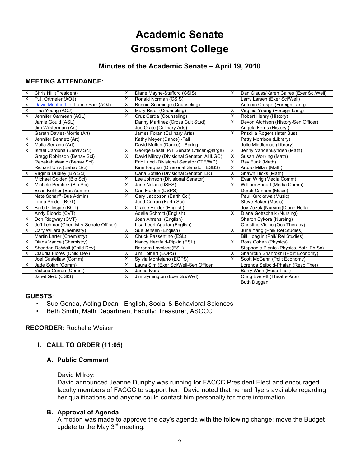# **Academic Senate Grossmont College**

# **Minutes of the Academic Senate – April 19, 2010**

# **MEETING ATTENDANCE:**

| X | Chris Hill (President)                | X        | Diane Mayne-Stafford (CSIS)               | X        | Dan Clauss/Karen Caires (Exer Sci/Well) |
|---|---------------------------------------|----------|-------------------------------------------|----------|-----------------------------------------|
| X | P.J. Ortmeier (AOJ)                   | $\times$ | Ronald Norman (CSIS)                      |          | Larry Larsen (Exer Sci/Well)            |
| x | David Mehlhoff for Lance Parr (AOJ)   | X        | Bonnie Schmiege (Counseling)              |          | Antonio Crespo (Foreign Lang)           |
| X | Tina Young (AOJ)                      | X        | Mary Rider (Counseling)                   | X        | Virginia Young (Foreign Lang)           |
| X | Jennifer Carmean (ASL)                | X        | Cruz Cerda (Counseling)                   | X        | Robert Henry (History)                  |
|   | Jamie Gould (ASL)                     |          | Danny Martinez (Cross Cult Stud)          | X        | Devon Atchison (History-Sen Officer)    |
|   | Jim Wilsterman (Art)                  |          | Joe Orate (Culinary Arts)                 |          | Angela Feres (History)                  |
|   | Gareth Davies-Morris (Art)            |          | James Foran (Culinary Arts)               | X        | Priscilla Rogers (Inter Bus)            |
| X | Jennifer Bennett (Art)                |          | Kathy Meyer (Dance) - Fall                |          | Patty Morrison (Library)                |
| х | Malia Serrano (Art)                   |          | David Mullen (Dance) - Spring             |          | Julie Middlemas (Library)               |
| X | Israel Cardona (Behav Sci)            | X        | George Gastil (P/T Senate Officer @large) | X        | Jenny VandenEynden (Math)               |
|   | Gregg Robinson (Behav Sci)            | X        | David Milroy (Divisional Senator AHLGC)   | X        | Susan Working (Math)                    |
|   | Rebekah Wanic (Behav Sci)             |          | Eric Lund (Divisional Senator CTE/WD)     | Х        | Ray Funk (Math)                         |
|   | Richard Unis (Behav Sci)              |          | Kirin Farquar (Divisional Senator ESBS)   | X        | Arturo Millan (Math)                    |
| X | Virginia Dudley (Bio Sci)             |          | Carla Sotelo (Divisional Senator LR)      | X        | Shawn Hicks (Math)                      |
|   | Michael Golden (Bio Sci)              | X        | Lee Johnson (Divisional Senator)          | X        | Evan Wirig (Media Comm)                 |
| X | Michele Perchez (Bio Sci)             | X        | Jane Nolan (DSPS)                         | $\times$ | William Snead (Media Comm)              |
|   | Brian Keliher (Bus Admin)             | X        | Carl Fielden (DSPS)                       |          | Derek Cannon (Music)                    |
|   | Nate Scharff (Bus Admin)              | X        | Gary Jacobson (Earth Sci)                 |          | Paul Kurokawa (Music)                   |
|   | Linda Snider (BOT)                    |          | Judd Curran (Earth Sci)                   |          | Steve Baker (Music)                     |
| х | Barb Gillespie (BOT)                  | X        | Oralee Holder (English)                   |          | Joy Zozuk (Nursing) Diane Hellar        |
|   | Andy Biondo (CVT)                     |          | Adelle Schmitt (English)                  | X        | Diane Gottschalk (Nursing)              |
| х | Don Ridgway (CVT)                     |          | Joan Ahrens (English)                     |          | Sharon Sykora (Nursing)                 |
| X | Jeff Lehman(Chemistry-Senate Officer) |          | Lisa Ledri-Aguilar (English)              |          | Christine Vicino (Occ Therapy)          |
| X | Cary Willard (Chemistry)              | X        | Sue Jensen (English)                      | Х        | June Yang (Phil/ Rel Studies)           |
|   | Martin Larter (Chemistry)             | $\times$ | Chuck Passentino (ESL)                    |          | Bill Hoaglin (Phil/ Rel Studies)        |
| X | Diana Vance (Chemistry)               |          | Nancy Herzfeld-Pipkin (ESL)               | X        | Ross Cohen (Physics)                    |
| X | Sheridan DeWolf (Child Dev)           |          | Barbara Loveless(ESL)                     |          | Stephanie Plante (Physics, Astr. Ph Sc) |
| X | Claudia Flores (Child Dev)            | X        | Jim Tolbert (EOPS)                        | X        | Shahrokh Shahrokhi (Polit Economy)      |
|   | Joel Castellaw (Comm)                 | X        | Sylvia Montejano (EOPS)                   | X        | Scott McGann (Polit Economy)            |
| X | Jade Solan (Comm)                     | X        | Laura Sim (Exer Sci/Well-Sen Officer      |          | Lorenda Seibold-Phalan (Resp Ther)      |
|   | Victoria Curran (Comm)                | X        | Jamie Ivers                               |          | Barry Winn (Resp Ther)                  |
|   | Janet Gelb (CSIS)                     | $\times$ | Jim Symington (Exer Sci/Well)             |          | Craig Everett (Theatre Arts)            |
|   |                                       |          |                                           |          | Buth Duggan                             |

#### **GUESTS**:

- Sue Gonda, Acting Dean English, Social & Behavioral Sciences
- Beth Smith, Math Department Faculty; Treasurer, ASCCC

#### **RECORDER**: Rochelle Weiser

# **I. CALL TO ORDER (11:05)**

# **A. Public Comment**

#### David Milroy:

David announced Jeanne Dunphy was running for FACCC President Elect and encouraged faculty members of FACCC to support her. David noted that he had flyers available regarding her qualifications and anyone could contact him personally for more information.

#### **B. Approval of Agenda**

A motion was made to approve the day's agenda with the following change; move the Budget update to the May  $3<sup>rd</sup>$  meeting.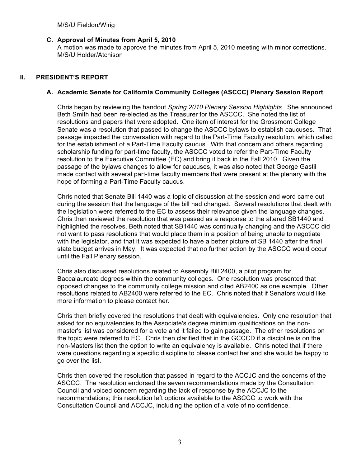# **C. Approval of Minutes from April 5, 2010**

A motion was made to approve the minutes from April 5, 2010 meeting with minor corrections. M/S/U Holder/Atchison

# **II. PRESIDENT'S REPORT**

# **A. Academic Senate for California Community Colleges (ASCCC) Plenary Session Report**

Chris began by reviewing the handout *Spring 2010 Plenary Session Highlights*. She announced Beth Smith had been re-elected as the Treasurer for the ASCCC. She noted the list of resolutions and papers that were adopted. One item of interest for the Grossmont College Senate was a resolution that passed to change the ASCCC bylaws to establish caucuses. That passage impacted the conversation with regard to the Part-Time Faculty resolution, which called for the establishment of a Part-Time Faculty caucus. With that concern and others regarding scholarship funding for part-time faculty, the ASCCC voted to refer the Part-Time Faculty resolution to the Executive Committee (EC) and bring it back in the Fall 2010. Given the passage of the bylaws changes to allow for caucuses, it was also noted that George Gastil made contact with several part-time faculty members that were present at the plenary with the hope of forming a Part-Time Faculty caucus.

Chris noted that Senate Bill 1440 was a topic of discussion at the session and word came out during the session that the language of the bill had changed. Several resolutions that dealt with the legislation were referred to the EC to assess their relevance given the language changes. Chris then reviewed the resolution that was passed as a response to the altered SB1440 and highlighted the resolves. Beth noted that SB1440 was continually changing and the ASCCC did not want to pass resolutions that would place them in a position of being unable to negotiate with the legislator, and that it was expected to have a better picture of SB 1440 after the final state budget arrives in May. It was expected that no further action by the ASCCC would occur until the Fall Plenary session.

Chris also discussed resolutions related to Assembly Bill 2400, a pilot program for Baccalaureate degrees within the community colleges. One resolution was presented that opposed changes to the community college mission and cited AB2400 as one example. Other resolutions related to AB2400 were referred to the EC. Chris noted that if Senators would like more information to please contact her.

Chris then briefly covered the resolutions that dealt with equivalencies. Only one resolution that asked for no equivalencies to the Associate's degree minimum qualifications on the nonmaster's list was considered for a vote and it failed to gain passage. The other resolutions on the topic were referred to EC. Chris then clarified that in the GCCCD if a discipline is on the non-Masters list then the option to write an equivalency is available. Chris noted that if there were questions regarding a specific discipline to please contact her and she would be happy to go over the list.

Chris then covered the resolution that passed in regard to the ACCJC and the concerns of the ASCCC. The resolution endorsed the seven recommendations made by the Consultation Council and voiced concern regarding the lack of response by the ACCJC to the recommendations; this resolution left options available to the ASCCC to work with the Consultation Council and ACCJC, including the option of a vote of no confidence.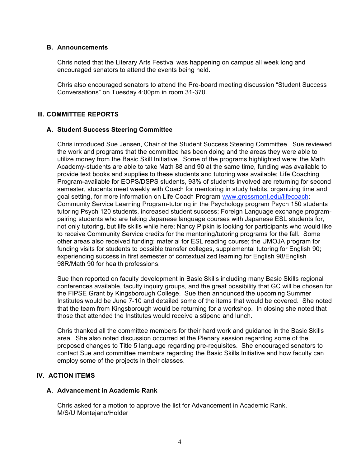#### **B. Announcements**

Chris noted that the Literary Arts Festival was happening on campus all week long and encouraged senators to attend the events being held.

Chris also encouraged senators to attend the Pre-board meeting discussion "Student Success Conversations" on Tuesday 4:00pm in room 31-370.

# **III. COMMITTEE REPORTS**

#### **A. Student Success Steering Committee**

Chris introduced Sue Jensen, Chair of the Student Success Steering Committee. Sue reviewed the work and programs that the committee has been doing and the areas they were able to utilize money from the Basic Skill Initiative. Some of the programs highlighted were: the Math Academy-students are able to take Math 88 and 90 at the same time, funding was available to provide text books and supplies to these students and tutoring was available; Life Coaching Program-available for EOPS/DSPS students, 93% of students involved are returning for second semester, students meet weekly with Coach for mentoring in study habits, organizing time and goal setting, for more information on Life Coach Program www.grossmont.edu/lifecoach; Community Service Learning Program-tutoring in the Psychology program Psych 150 students tutoring Psych 120 students, increased student success; Foreign Language exchange programpairing students who are taking Japanese language courses with Japanese ESL students for, not only tutoring, but life skills while here; Nancy Pipkin is looking for participants who would like to receive Community Service credits for the mentoring/tutoring programs for the fall. Some other areas also received funding: material for ESL reading course; the UMOJA program for funding visits for students to possible transfer colleges, supplemental tutoring for English 90; experiencing success in first semester of contextualized learning for English 98/English 98R/Math 90 for health professions.

Sue then reported on faculty development in Basic Skills including many Basic Skills regional conferences available, faculty inquiry groups, and the great possibility that GC will be chosen for the FIPSE Grant by Kingsborough College. Sue then announced the upcoming Summer Institutes would be June 7-10 and detailed some of the items that would be covered. She noted that the team from Kingsborough would be returning for a workshop. In closing she noted that those that attended the Institutes would receive a stipend and lunch.

Chris thanked all the committee members for their hard work and guidance in the Basic Skills area. She also noted discussion occurred at the Plenary session regarding some of the proposed changes to Title 5 language regarding pre-requisites. She encouraged senators to contact Sue and committee members regarding the Basic Skills Initiative and how faculty can employ some of the projects in their classes.

# **IV. ACTION ITEMS**

#### **A. Advancement in Academic Rank**

Chris asked for a motion to approve the list for Advancement in Academic Rank. M/S/U Montejano/Holder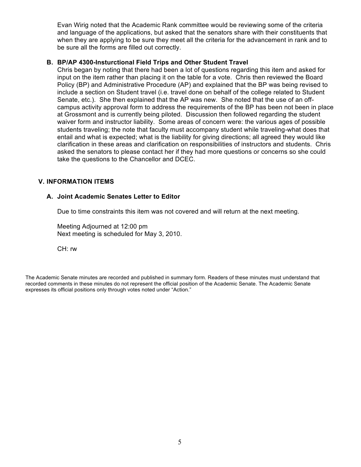Evan Wirig noted that the Academic Rank committee would be reviewing some of the criteria and language of the applications, but asked that the senators share with their constituents that when they are applying to be sure they meet all the criteria for the advancement in rank and to be sure all the forms are filled out correctly.

#### **B. BP/AP 4300-Insturctional Field Trips and Other Student Travel**

Chris began by noting that there had been a lot of questions regarding this item and asked for input on the item rather than placing it on the table for a vote. Chris then reviewed the Board Policy (BP) and Administrative Procedure (AP) and explained that the BP was being revised to include a section on Student travel (i.e. travel done on behalf of the college related to Student Senate, etc.). She then explained that the AP was new. She noted that the use of an offcampus activity approval form to address the requirements of the BP has been not been in place at Grossmont and is currently being piloted. Discussion then followed regarding the student waiver form and instructor liability. Some areas of concern were: the various ages of possible students traveling; the note that faculty must accompany student while traveling-what does that entail and what is expected; what is the liability for giving directions; all agreed they would like clarification in these areas and clarification on responsibilities of instructors and students. Chris asked the senators to please contact her if they had more questions or concerns so she could take the questions to the Chancellor and DCEC.

#### **V. INFORMATION ITEMS**

#### **A. Joint Academic Senates Letter to Editor**

Due to time constraints this item was not covered and will return at the next meeting.

Meeting Adjourned at 12:00 pm Next meeting is scheduled for May 3, 2010.

CH: rw

The Academic Senate minutes are recorded and published in summary form. Readers of these minutes must understand that recorded comments in these minutes do not represent the official position of the Academic Senate. The Academic Senate expresses its official positions only through votes noted under "Action."